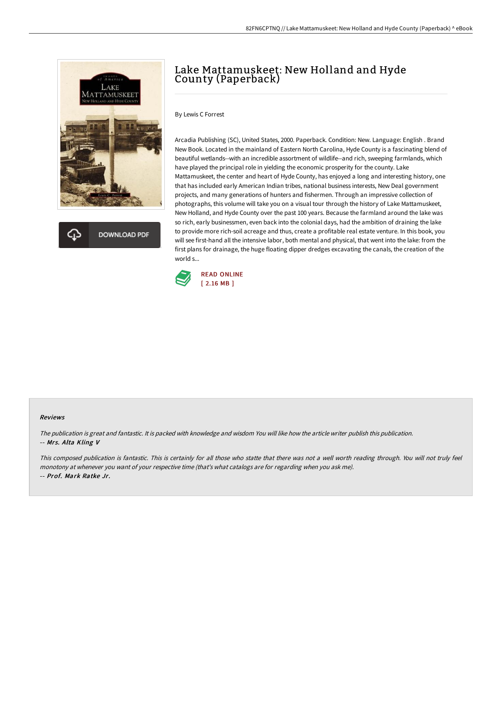

**DOWNLOAD PDF** 

# Lake Mattamuskeet: New Holland and Hyde County (Paperback)

By Lewis C Forrest

Arcadia Publishing (SC), United States, 2000. Paperback. Condition: New. Language: English . Brand New Book. Located in the mainland of Eastern North Carolina, Hyde County is a fascinating blend of beautiful wetlands--with an incredible assortment of wildlife--and rich, sweeping farmlands, which have played the principal role in yielding the economic prosperity for the county. Lake Mattamuskeet, the center and heart of Hyde County, has enjoyed a long and interesting history, one that has included early American Indian tribes, national business interests, New Deal government projects, and many generations of hunters and fishermen. Through an impressive collection of photographs, this volume will take you on a visual tour through the history of Lake Mattamuskeet, New Holland, and Hyde County over the past 100 years. Because the farmland around the lake was so rich, early businessmen, even back into the colonial days, had the ambition of draining the lake to provide more rich-soil acreage and thus, create a profitable real estate venture. In this book, you will see first-hand all the intensive labor, both mental and physical, that went into the lake: from the first plans for drainage, the huge floating dipper dredges excavating the canals, the creation of the world s...



#### Reviews

The publication is great and fantastic. It is packed with knowledge and wisdom You will like how the article writer publish this publication. -- Mrs. Alta Kling V

This composed publication is fantastic. This is certainly for all those who statte that there was not <sup>a</sup> well worth reading through. You will not truly feel monotony at whenever you want of your respective time (that's what catalogs are for regarding when you ask me). -- Prof. Mark Ratke Jr.